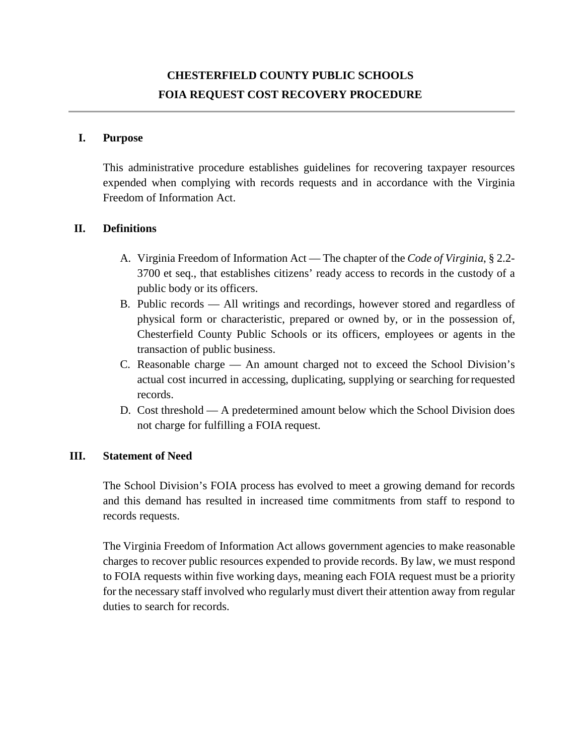### **I. Purpose**

This administrative procedure establishes guidelines for recovering taxpayer resources expended when complying with records requests and in accordance with the Virginia Freedom of Information Act.

## **II. Definitions**

- A. Virginia Freedom of Information Act The chapter of the *Code of Virginia*, § 2.2- 3700 et seq., that establishes citizens' ready access to records in the custody of a public body or its officers.
- B. Public records All writings and recordings, however stored and regardless of physical form or characteristic, prepared or owned by, or in the possession of, Chesterfield County Public Schools or its officers, employees or agents in the transaction of public business.
- C. Reasonable charge An amount charged not to exceed the School Division's actual cost incurred in accessing, duplicating, supplying or searching forrequested records.
- D. Cost threshold A predetermined amount below which the School Division does not charge for fulfilling a FOIA request.

#### **III. Statement of Need**

The School Division's FOIA process has evolved to meet a growing demand for records and this demand has resulted in increased time commitments from staff to respond to records requests.

The Virginia Freedom of Information Act allows government agencies to make reasonable charges to recover public resources expended to provide records. By law, we must respond to FOIA requests within five working days, meaning each FOIA request must be a priority for the necessary staff involved who regularly must divert their attention away from regular duties to search for records.